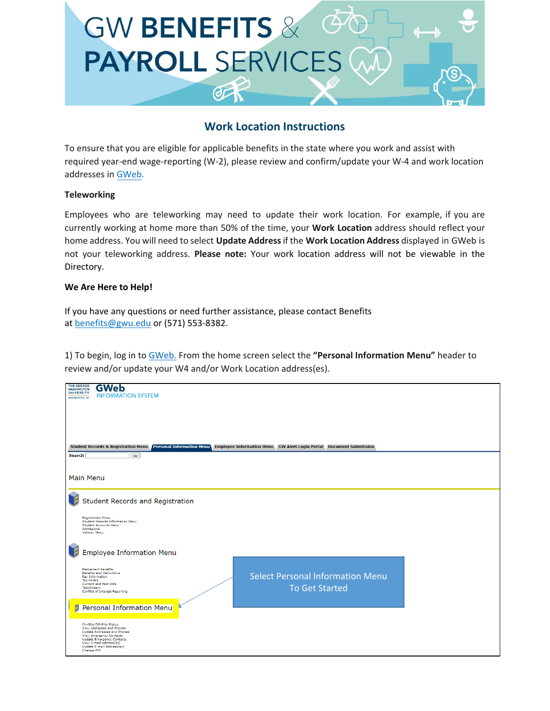

## **Work Location Instructions**

To ensure that you are eligible for applicable benefits in the state where you work and assist with required year-end wage-reporting (W-2), please review and confirm/update your W-4 and work location addresses in [GWeb.](http://it.gwu.edu/gweb)

## **Teleworking**

Employees who are teleworking may need to update their work location. For example, if you are currently working at home more than 50% of the time, your **Work Location** address should reflect your home address. You will need to select **Update Address** if the **Work Location Address** displayed in GWeb is not your teleworking address. **Please note:** Your work location address will not be viewable in the Directory.

## **We Are Here to Help!**

If you have any questions or need further assistance, please contact Benefits at [benefits@gwu.edu](mailto:benefits@gwu.edu) or (571) 553-8382.

1) To begin, log in to [GWeb.](http://it.gwu.edu/gweb) From the home screen select the **"Personal Information Menu"** header to review and/or update your W4 and/or Work Location address(es).

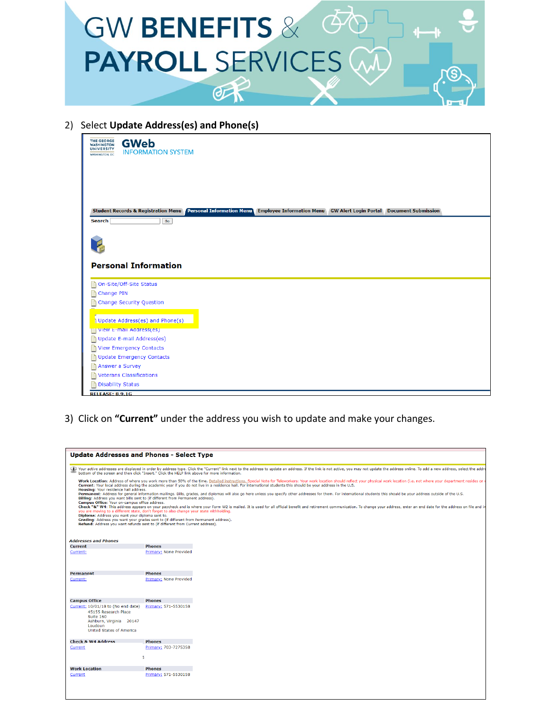

2) Select **Update Address(es) and Phone(s)**

| <b>THE GEORGE</b><br><b>GWeb</b><br><b>WASHINGTON</b><br><b>UNIVERSITY</b><br><b>INFORMATION SYSTEM</b><br><b>WASHINGTON, DC</b>  |
|-----------------------------------------------------------------------------------------------------------------------------------|
|                                                                                                                                   |
|                                                                                                                                   |
| Student Records & Registration Menu Personal Information Menu Employee Information Menu GW Alert Login Portal Document Submission |
| <b>Search</b><br>Go                                                                                                               |
|                                                                                                                                   |
|                                                                                                                                   |
|                                                                                                                                   |
| <b>Personal Information</b>                                                                                                       |
|                                                                                                                                   |
| On-Site/Off-Site Status                                                                                                           |
| Change PIN                                                                                                                        |
| Change Security Question                                                                                                          |
|                                                                                                                                   |
| Update Address(es) and Phone(s)                                                                                                   |
| View E-mail Address(es)                                                                                                           |
| Update E-mail Address(es)                                                                                                         |
| <b>View Emergency Contacts</b>                                                                                                    |
| <b>Update Emergency Contacts</b>                                                                                                  |
| Answer a Survey                                                                                                                   |
| <b>Veterans Classifications</b>                                                                                                   |
| <b>Disability Status</b>                                                                                                          |
| <b>RELEASE: 8.9.1G</b>                                                                                                            |

3) Click on **"Current"** under the address you wish to update and make your changes.

| <b>Update Addresses and Phones - Select Type</b>                                                    |                                                                                                                                                                                                                                                                                                                                                                                                                                                                                                     |
|-----------------------------------------------------------------------------------------------------|-----------------------------------------------------------------------------------------------------------------------------------------------------------------------------------------------------------------------------------------------------------------------------------------------------------------------------------------------------------------------------------------------------------------------------------------------------------------------------------------------------|
|                                                                                                     | Your active addresses are displayed in order by address type. Click the "Current" link next to the address to update an address. If the link is not active, you may not update the address online. To add a new address, selec<br>bottom of the screen and then click "Insert." Click the HELP link above for more information.                                                                                                                                                                     |
| Housing: Your residence hall address.                                                               | Work Location: Address of where you work more than 50% of the time. Detailed instructions. Special Note for Teleworkers: Your work location should reflect your physical work location (i.e. not where your department resides<br>Current: Your local address during the academic year if you do not live in a residence hall. For international students this should be your address in the U.S.                                                                                                   |
| Campus Office: Your on-campus office address.                                                       | Permanent: Address for general information mailings. Bills, grades, and diplomas will also go here unless you specify other addresses for them. For international students this should be your address outside of the U.S.<br>Billing: Address you want bills sent to (if different from Permanent address).                                                                                                                                                                                        |
| Diploma: Address you want your diploma sent to.                                                     | Check "&" W4: This address appears on your paycheck and is where your Form W2 is mailed. It is used for all official benefit and retirement communication. To change your address, enter an end date for the address on file a<br>you are moving to a different state, don't forget to also change your state withholding.<br>Grading: Address you want your grades sent to (if different from Permanent address).<br>Refund: Address you want refunds sent to (if different from Current address). |
| <b>Addresses and Phones</b>                                                                         |                                                                                                                                                                                                                                                                                                                                                                                                                                                                                                     |
| <b>Current</b>                                                                                      | <b>Phones</b>                                                                                                                                                                                                                                                                                                                                                                                                                                                                                       |
| Current:                                                                                            | Primary: None Provided                                                                                                                                                                                                                                                                                                                                                                                                                                                                              |
|                                                                                                     |                                                                                                                                                                                                                                                                                                                                                                                                                                                                                                     |
| <b>Permanent</b>                                                                                    | <b>Phones</b>                                                                                                                                                                                                                                                                                                                                                                                                                                                                                       |
| Current:                                                                                            | Primary: None Provided                                                                                                                                                                                                                                                                                                                                                                                                                                                                              |
| <b>Campus Office</b>                                                                                | <b>Phones</b>                                                                                                                                                                                                                                                                                                                                                                                                                                                                                       |
| Current: 10/01/18 to (No end date)                                                                  | Primary: 571-5530158                                                                                                                                                                                                                                                                                                                                                                                                                                                                                |
| 45155 Research Place<br>Suite 160<br>Ashburn, Virginia 20147<br>Loudoun<br>United States of America |                                                                                                                                                                                                                                                                                                                                                                                                                                                                                                     |
| <b>Check &amp; W4 Address</b>                                                                       | <b>Phones</b>                                                                                                                                                                                                                                                                                                                                                                                                                                                                                       |
| Current:                                                                                            | Primary: 703-7275358<br>5                                                                                                                                                                                                                                                                                                                                                                                                                                                                           |
| <b>Work Location</b>                                                                                | <b>Phones</b>                                                                                                                                                                                                                                                                                                                                                                                                                                                                                       |
| <b>Current:</b>                                                                                     | Primary: 571-5530158                                                                                                                                                                                                                                                                                                                                                                                                                                                                                |
|                                                                                                     |                                                                                                                                                                                                                                                                                                                                                                                                                                                                                                     |